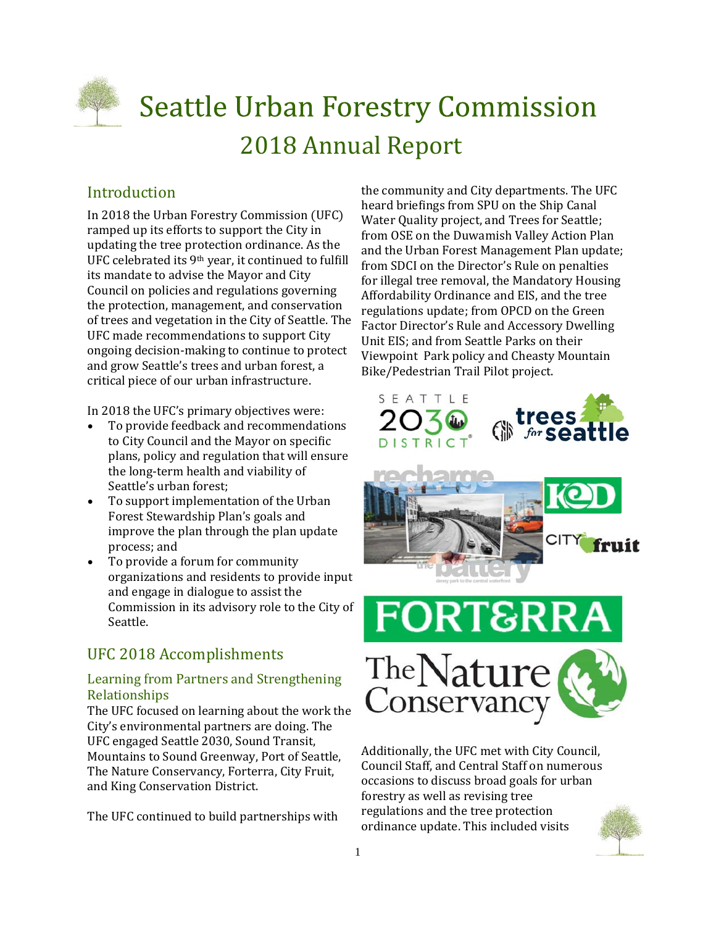

# **Seattle Urban Forestry Commission** 2018 Annual Report

## Introduction

In 2018 the Urban Forestry Commission (UFC) ramped up its efforts to support the City in updating the tree protection ordinance. As the UFC celebrated its 9<sup>th</sup> year, it continued to fulfill its mandate to advise the Mayor and City Council on policies and regulations governing the protection, management, and conservation of trees and vegetation in the City of Seattle. The UFC made recommendations to support City ongoing decision-making to continue to protect and grow Seattle's trees and urban forest, a critical piece of our urban infrastructure.

In 2018 the UFC's primary objectives were:

- To provide feedback and recommendations to City Council and the Mayor on specific plans, policy and regulation that will ensure the long-term health and viability of Seattle's urban forest;
- To support implementation of the Urban Forest Stewardship Plan's goals and improve the plan through the plan update process; and
- To provide a forum for community organizations and residents to provide input and engage in dialogue to assist the Commission in its advisory role to the City of Seattle.

## UFC 2018 Accomplishments

#### Learning from Partners and Strengthening Relationships

The UFC focused on learning about the work the City's environmental partners are doing. The UFC engaged Seattle 2030, Sound Transit, Mountains to Sound Greenway, Port of Seattle, The Nature Conservancy, Forterra, City Fruit, and King Conservation District.

The UFC continued to build partnerships with

the community and City departments. The UFC heard briefings from SPU on the Ship Canal Water Quality project, and Trees for Seattle; from OSE on the Duwamish Valley Action Plan and the Urban Forest Management Plan update; from SDCI on the Director's Rule on penalties for illegal tree removal, the Mandatory Housing Affordability Ordinance and EIS, and the tree regulations update; from OPCD on the Green Factor Director's Rule and Accessory Dwelling Unit EIS; and from Seattle Parks on their Viewpoint Park policy and Cheasty Mountain Bike/Pedestrian Trail Pilot project.







Additionally, the UFC met with City Council, Council Staff, and Central Staff on numerous occasions to discuss broad goals for urban forestry as well as revising tree regulations and the tree protection ordinance update. This included visits

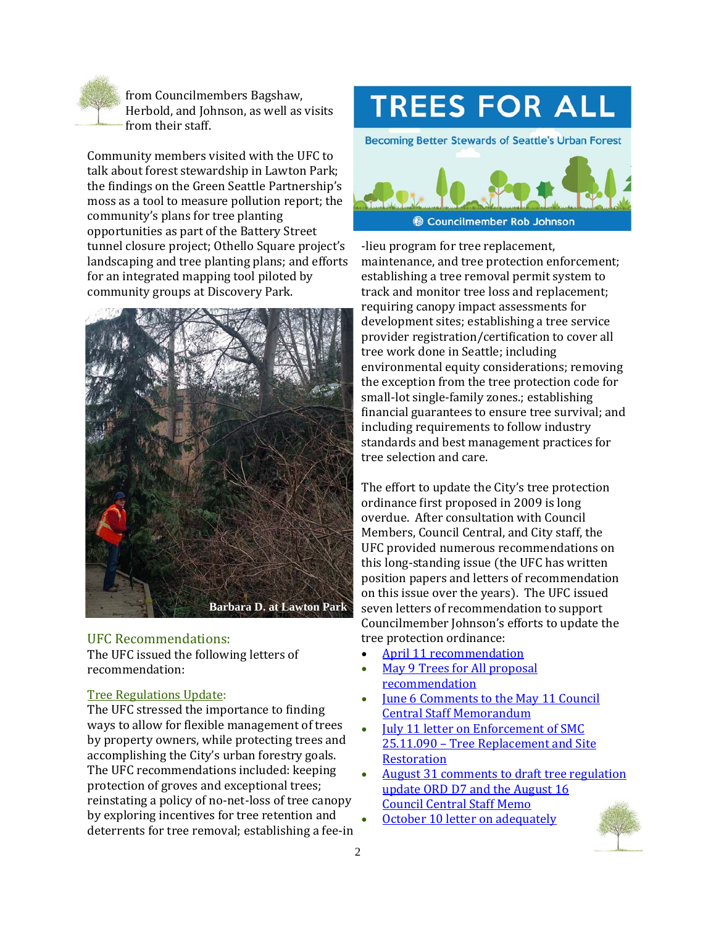

from Councilmembers Bagshaw, Herbold, and Johnson, as well as visits from their staff.

Community members visited with the UFC to talk about forest stewardship in Lawton Park; the findings on the Green Seattle Partnership's moss as a tool to measure pollution report; the community's plans for tree planting opportunities as part of the Battery Street tunnel closure project; Othello Square project's landscaping and tree planting plans; and efforts for an integrated mapping tool piloted by community groups at Discovery Park.



#### UFC Recommendations:

The UFC issued the following letters of recommendation:

#### Tree Regulations Update:

The UFC stressed the importance to finding ways to allow for flexible management of trees by property owners, while protecting trees and accomplishing the City's urban forestry goals. The UFC recommendations included: keeping protection of groves and exceptional trees; reinstating a policy of no-net-loss of tree canopy by exploring incentives for tree retention and deterrents for tree removal; establishing a fee-in

## **TREES FOR ALL**

**Becoming Better Stewards of Seattle's Urban Forest** 



-lieu program for tree replacement. maintenance, and tree protection enforcement; establishing a tree removal permit system to track and monitor tree loss and replacement; requiring canopy impact assessments for development sites; establishing a tree service provider registration/certification to cover all tree work done in Seattle: including environmental equity considerations; removing the exception from the tree protection code for small-lot single-family zones.; establishing financial guarantees to ensure tree survival; and including requirements to follow industry standards and best management practices for tree selection and care.

The effort to update the City's tree protection ordinance first proposed in 2009 is long overdue. After consultation with Council Members, Council Central, and City staff, the UFC provided numerous recommendations on this long-standing issue (the UFC has written position papers and letters of recommendation on this issue over the years). The UFC issued seven letters of recommendation to support Councilmember Johnson's efforts to update the tree protection ordinance:

- April 11 recommendation
- May 9 Trees for All proposal recommendation
- June 6 Comments to the May 11 Council Central Staff Memorandum
- **July 11 letter on Enforcement of SMC** 25.11.090 - Tree Replacement and Site **Restoration**
- August 31 comments to draft tree regulation update ORD D7 and the August 16 **Council Central Staff Memo**
- October 10 letter on adequately

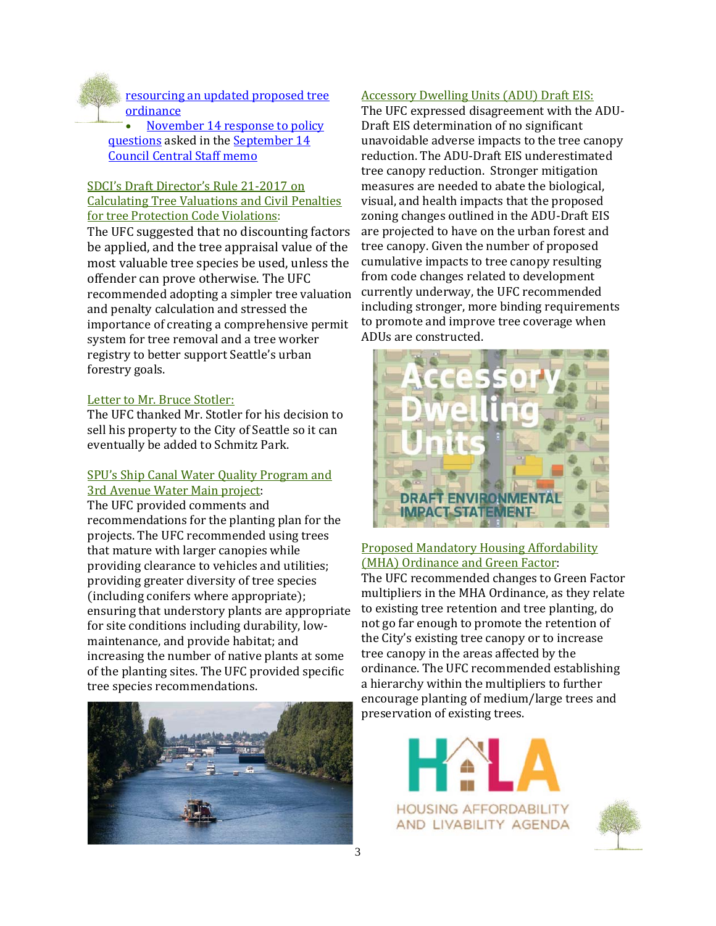

resourcing an updated proposed tree **ordinance** 

November 14 response to policy questions asked in the September 14 **Council Central Staff memo** 

#### SDCI's Draft Director's Rule 21-2017 on Calculating Tree Valuations and Civil Penalties for tree Protection Code Violations:

The UFC suggested that no discounting factors be applied, and the tree appraisal value of the most valuable tree species be used, unless the offender can prove otherwise. The UFC recommended adopting a simpler tree valuation and penalty calculation and stressed the importance of creating a comprehensive permit system for tree removal and a tree worker registry to better support Seattle's urban forestry goals.

#### Letter to Mr. Bruce Stotler:

The UFC thanked Mr. Stotler for his decision to sell his property to the City of Seattle so it can eventually be added to Schmitz Park.

#### SPU's Ship Canal Water Quality Program and 3rd Avenue Water Main project:

The UFC provided comments and recommendations for the planting plan for the projects. The UFC recommended using trees that mature with larger canopies while providing clearance to vehicles and utilities; providing greater diversity of tree species (including conifers where appropriate); ensuring that understory plants are appropriate for site conditions including durability, lowmaintenance, and provide habitat; and increasing the number of native plants at some of the planting sites. The UFC provided specific tree species recommendations.



#### Accessory Dwelling Units (ADU) Draft EIS:

The UFC expressed disagreement with the ADU-Draft EIS determination of no significant unavoidable adverse impacts to the tree canopy reduction. The ADU-Draft EIS underestimated tree canopy reduction. Stronger mitigation measures are needed to abate the biological, visual, and health impacts that the proposed zoning changes outlined in the ADU-Draft EIS are projected to have on the urban forest and tree canopy. Given the number of proposed cumulative impacts to tree canopy resulting from code changes related to development currently underway, the UFC recommended including stronger, more binding requirements to promote and improve tree coverage when ADUs are constructed.



#### Proposed Mandatory Housing Affordability (MHA) Ordinance and Green Factor:

The UFC recommended changes to Green Factor multipliers in the MHA Ordinance, as they relate to existing tree retention and tree planting, do not go far enough to promote the retention of the City's existing tree canopy or to increase tree canopy in the areas affected by the ordinance. The UFC recommended establishing a hierarchy within the multipliers to further encourage planting of medium/large trees and preservation of existing trees.

> **HOUSING AFFORDABILITY** AND LIVABILITY AGENDA

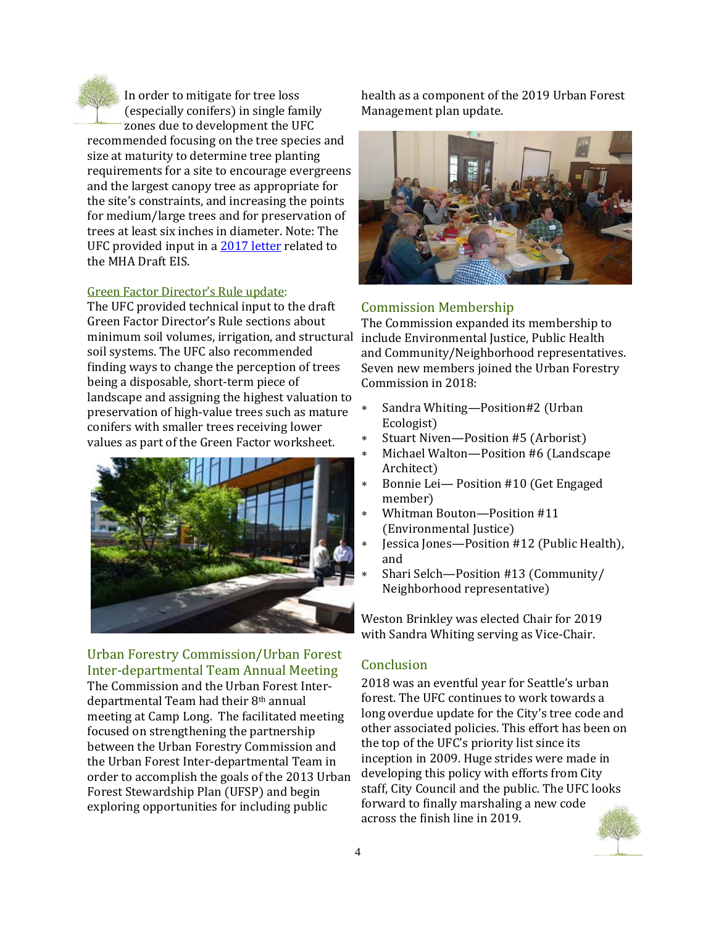

In order to mitigate for tree loss (especially conifers) in single family zones due to development the UFC

recommended focusing on the tree species and size at maturity to determine tree planting requirements for a site to encourage evergreens and the largest canopy tree as appropriate for the site's constraints, and increasing the points for medium/large trees and for preservation of trees at least six inches in diameter. Note: The UFC provided input in a 2017 letter related to the MHA Draft EIS.

#### Green Factor Director's Rule update:

The UFC provided technical input to the draft Green Factor Director's Rule sections about minimum soil volumes, irrigation, and structural include Environmental Justice, Public Health soil systems. The UFC also recommended finding ways to change the perception of trees being a disposable, short-term piece of landscape and assigning the highest valuation to preservation of high-value trees such as mature conifers with smaller trees receiving lower values as part of the Green Factor worksheet.



Urban Forestry Commission/Urban Forest Inter‐departmental Team Annual Meeting The Commission and the Urban Forest Inter-

departmental Team had their 8<sup>th</sup> annual meeting at Camp Long. The facilitated meeting focused on strengthening the partnership between the Urban Forestry Commission and the Urban Forest Inter-departmental Team in order to accomplish the goals of the 2013 Urban Forest Stewardship Plan (UFSP) and begin exploring opportunities for including public

health as a component of the 2019 Urban Forest Management plan update.



#### Commission Membership

The Commission expanded its membership to and Community/Neighborhood representatives. Seven new members joined the Urban Forestry Commission in 2018:

- \* Sandra Whiting—Position#2 (Urban Ecologist)
- \* Stuart Niven—Position #5 (Arborist)
- Michael Walton—Position #6 (Landscape Architect)
- \* Bonnie Lei-Position #10 (Get Engaged member)
- Whitman Bouton-Position #11 (Environmental Justice)
- Jessica Jones-Position #12 (Public Health), and
- Shari Selch-Position #13 (Community/ Neighborhood representative)

Weston Brinkley was elected Chair for 2019 with Sandra Whiting serving as Vice-Chair.

#### Conclusion

2018 was an eventful year for Seattle's urban forest. The UFC continues to work towards a long overdue update for the City's tree code and other associated policies. This effort has been on the top of the UFC's priority list since its inception in 2009. Huge strides were made in developing this policy with efforts from City staff, City Council and the public. The UFC looks forward to finally marshaling a new code across the finish line in 2019.